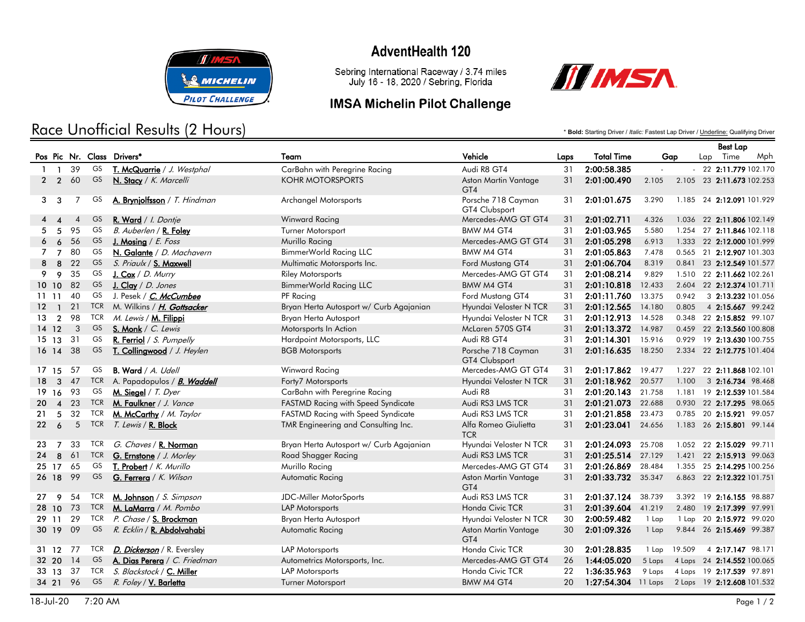

# Race Unofficial Results (2 Hours)

## **AdventHealth 120**

Sebring International Raceway / 3.74 miles<br>July 16 - 18, 2020 / Sebring, Florida

#### **IMSA Michelin Pilot Challenge**



\* **Bold:** Starting Driver / *Italic:* Fastest Lap Driver / Underline: Qualifying Driver

|              |                |                |            |                                    |                                         |                                     |      |                                                |        |        |     | <b>Best Lap</b>            |     |
|--------------|----------------|----------------|------------|------------------------------------|-----------------------------------------|-------------------------------------|------|------------------------------------------------|--------|--------|-----|----------------------------|-----|
|              |                |                |            | Pos Pic Nr. Class Drivers*         | Team                                    | Vehicle                             | Laps | <b>Total Time</b>                              | Gap    |        | Lap | Time                       | Mph |
| $\mathbf{1}$ | $\mathbf{1}$   | 39             | GS         | T. McQuarrie / J. Westphal         | CarBahn with Peregrine Racing           | Audi R8 GT4                         | 31   | 2:00:58.385                                    | $\sim$ |        |     | $-22$ 2:11.779 102.170     |     |
|              | $2\quad 2$     | 60             | GS         | N. Stacy / K. Marcelli             | <b>KOHR MOTORSPORTS</b>                 | Aston Martin Vantage<br>GT4         | 31   | 2:01:00.490                                    | 2.105  |        |     | 2.105 23 2:11.673 102.253  |     |
| 3            | $\mathbf{3}$   | 7              | GS.        | A. Bryniolfsson / T. Hindman       | <b>Archangel Motorsports</b>            | Porsche 718 Cayman<br>GT4 Clubsport | 31   | 2:01:01.675                                    | 3.290  |        |     | 1.185 24 2:12.091 101.929  |     |
| 4            |                | $\overline{4}$ | GS.        | R. Ward / I. Dontje                | <b>Winward Racing</b>                   | Mercedes-AMG GT GT4                 | 31   | 2:01:02.711                                    | 4.326  |        |     | 1.036 22 2:11.806 102.149  |     |
|              | 5              | 95             | GS         | B. Auberlen / R. Foley             | Turner Motorsport                       | BMW M4 GT4                          | 31   | 2:01:03.965                                    | 5.580  |        |     | 1.254 27 2:11.846 102.118  |     |
| 6            | 6              | 56             | GS         | J. Mosing $/ E. Foss$              | Murillo Racing                          | Mercedes-AMG GT GT4                 | 31   | 2:01:05.298                                    | 6.913  |        |     | 1.333 22 2:12.000 101.999  |     |
| 7            | 7              | 80             | GS         | N. Galante / D. Machavern          | <b>BimmerWorld Racing LLC</b>           | BMW M4 GT4                          | 31   | 2:01:05.863                                    | 7.478  |        |     | 0.565 21 2:12.907 101.303  |     |
| 8            | 8              | 22             | <b>GS</b>  | S. Priaulx / S. Maxwell            | Multimatic Motorsports Inc.             | Ford Mustang GT4                    | 31   | 2:01:06.704                                    | 8.319  |        |     | 0.841 23 2:12.549 101.577  |     |
| 9            | 9              | 35             | GS         | J. Cox / D. Murry                  | <b>Riley Motorsports</b>                | Mercedes-AMG GT GT4                 | 31   | 2:01:08.214                                    | 9.829  |        |     | 1.510 22 2:11.662 102.261  |     |
|              | 10 10          | 82             | <b>GS</b>  | J. Clay / D. Jones                 | <b>BimmerWorld Racing LLC</b>           | BMW M4 GT4                          | 31   | 2:01:10.818                                    | 12.433 |        |     | 2.604 22 2:12.374 101.711  |     |
|              | 1111           | 40             | GS         | J. Pesek / C. McCumbee             | PF Racing                               | Ford Mustang GT4                    | 31   | 2:01:11.760                                    | 13.375 | 0.942  |     | 3 2:13.232 101.056         |     |
|              | $12 \quad 1$   | 21             | <b>TCR</b> | M. Wilkins / <i>H. Gottsacker</i>  | Bryan Herta Autosport w/ Curb Agajanian | Hyundai Veloster N TCR              | 31   | 2:01:12.565                                    | 14.180 | 0.805  |     | 4 2:15.667 99.242          |     |
| 13           | $\overline{2}$ | 98             | <b>TCR</b> | M. Lewis / M. Filippi              | Bryan Herta Autosport                   | Hyundai Veloster N TCR              | 31   | 2:01:12.913                                    | 14.528 |        |     | 0.348 22 2:15.852 99.107   |     |
|              | $14 \t12$      | $\mathbf{3}$   | GS         | S. Monk / C. Lewis                 | Motorsports In Action                   | McLaren 570S GT4                    | 31   | 2:01:13.372                                    | 14.987 |        |     | 0.459 22 2:13.560 100.808  |     |
|              | 15 13          | -31            | GS         | R. Ferriol / S. Pumpelly           | Hardpoint Motorsports, LLC              | Audi R8 GT4                         | 31   | 2:01:14.301                                    | 15.916 |        |     | 0.929 19 2:13.630 100.755  |     |
|              | $16 \t14$      | 38             | GS         | T. Collingwood / J. Heylen         | <b>BGB Motorsports</b>                  | Porsche 718 Cayman<br>GT4 Clubsport | 31   | 2:01:16.635                                    | 18.250 |        |     | 2.334 22 2:12.775 101.404  |     |
|              | 17 15          | 57             | GS         | B. Ward / A. Udell                 | Winward Racing                          | Mercedes-AMG GT GT4                 | 31   | 2:01:17.862                                    | 19.477 |        |     | 1.227 22 2:11.868 102.101  |     |
| 18           | $\mathbf{3}$   | 47             | <b>TCR</b> | A. Papadopulos / <i>B. Waddell</i> | Forty7 Motorsports                      | Hyundai Veloster N TCR              | 31   | 2:01:18.962 20.577                             |        | 1.100  |     | 3 2:16.734 98.468          |     |
|              | 19 16          | 93             | GS         | M. Siegel / $T.$ Dyer              | CarBahn with Peregrine Racing           | Audi R8                             | 31   | 2:01:20.143                                    | 21.758 |        |     | 1.181 19 2:12.539 101.584  |     |
| 20           |                | 4 23           | <b>TCR</b> | M. Faulkner / J. Vance             | FASTMD Racing with Speed Syndicate      | Audi RS3 LMS TCR                    | 31   | 2:01:21.073 22.688                             |        |        |     | 0.930 22 2:17.295 98.065   |     |
| 21           | 5              | 32             | <b>TCR</b> | M. McCarthy / M. Taylor            | FASTMD Racing with Speed Syndicate      | Audi RS3 LMS TCR                    | 31   | 2:01:21.858                                    | 23.473 |        |     | 0.785 20 2:15.921 99.057   |     |
| 22           | 6              | $\overline{5}$ | <b>TCR</b> | T. Lewis / <b>R. Block</b>         | TMR Engineering and Consulting Inc.     | Alfa Romeo Giulietta<br><b>TCR</b>  | 31   | 2:01:23.041                                    | 24.656 |        |     | 1.183 26 2:15.801 99.144   |     |
| 23           | $\overline{7}$ | 33             | <b>TCR</b> | G. Chaves / R. Norman              | Bryan Herta Autosport w/ Curb Agajanian | Hyundai Veloster N TCR              | 31   | 2:01:24.093                                    | 25.708 |        |     | 1.052 22 2:15.029 99.711   |     |
| 24           | 8              | 61             | <b>TCR</b> | G. Ernstone / J. Morley            | Road Shagger Racing                     | Audi RS3 LMS TCR                    | 31   | 2:01:25.514                                    | 27.129 |        |     | 1.421 22 2:15.913 99.063   |     |
|              | 25 17          | 65             | GS         | T. Probert / K. Murillo            | Murillo Racing                          | Mercedes-AMG GT GT4                 | 31   | 2:01:26.869                                    | 28.484 |        |     | 1.355 25 2:14.295 100.256  |     |
|              | 26 18          | 99             | GS         | G. Ferrera / K. Wilson             | <b>Automatic Racing</b>                 | Aston Martin Vantage<br>GT4         | 31   | 2:01:33.732 35.347                             |        |        |     | 6.863 22 2:12.322 101.751  |     |
| 27           | 9              | 54             | TCR        | M. Johnson / S. Simpson            | JDC-Miller MotorSports                  | Audi RS3 LMS TCR                    | 31   | 2:01:37.124                                    | 38.739 |        |     | 3.392 19 2:16.155 98.887   |     |
|              | 28 10          | 73             | <b>TCR</b> | M. LaMarra / M. Pombo              | LAP Motorsports                         | Honda Civic TCR                     | 31   | 2:01:39.604                                    | 41.219 |        |     | 2.480 19 2:17.399 97.991   |     |
|              | 29 11          | 29             | <b>TCR</b> | P. Chase / S. Brockman             | Bryan Herta Autosport                   | Hyundai Veloster N TCR              | 30   | 2:00:59.482                                    | 1 Lap  |        |     | 1 Lap 20 2:15.972 99.020   |     |
|              | 30 19          | - 09           | GS         | R. Ecklin / <b>R. Abdolvahabi</b>  | Automatic Racing                        | Aston Martin Vantage<br>GT4         | 30   | 2:01:09.326                                    | 1 Lap  |        |     | 9.844 26 2:15.469 99.387   |     |
|              | 31 12          | 77             | <b>TCR</b> | D. Dickerson / R. Eversley         | LAP Motorsports                         | Honda Civic TCR                     | 30   | 2:01:28.835                                    | 1 Lap  | 19.509 |     | 4 2:17.147 98.171          |     |
|              | 32 20          | 14             | <b>GS</b>  | A. Dias Perera / C. Friedman       | Autometrics Motorsports, Inc.           | Mercedes-AMG GT GT4                 | 26   | 1:44:05.020                                    | 5 Laps |        |     | 4 Laps 24 2:14.552 100.065 |     |
|              | $33 \quad 13$  | -37            | <b>TCR</b> | S. Blackstock / C. Miller          | <b>LAP Motorsports</b>                  | Honda Civic TCR                     | 22   | 1:36:35.963                                    | 9 Laps |        |     | 4 Laps 19 2:17.539 97.891  |     |
|              | 34 21 96       |                | GS         | R. Foley / V. Barletta             | Turner Motorsport                       | BMW M4 GT4                          | 20   | 1:27:54.304 11 Laps 2 Laps 19 2:12.608 101.532 |        |        |     |                            |     |
|              |                |                |            |                                    |                                         |                                     |      |                                                |        |        |     |                            |     |